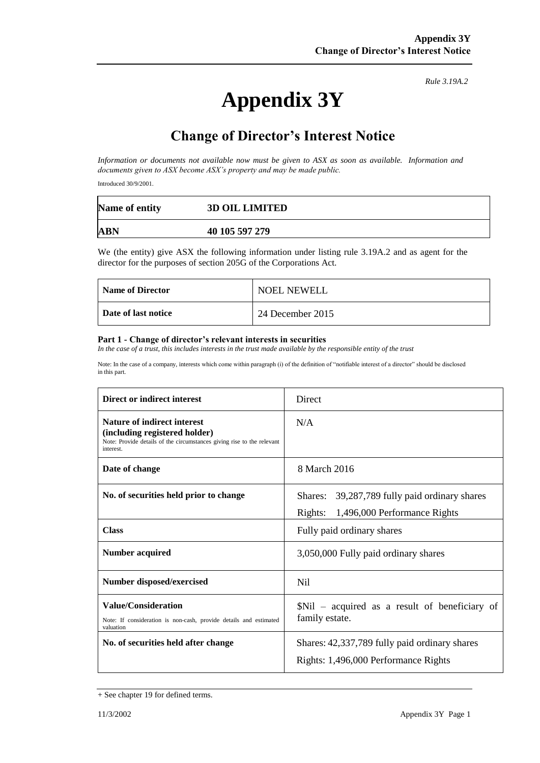# **Appendix 3Y**

*Rule 3.19A.2*

# **Change of Director's Interest Notice**

*Information or documents not available now must be given to ASX as soon as available. Information and documents given to ASX become ASX's property and may be made public.*

Introduced 30/9/2001.

| Name of entity | <b>3D OIL LIMITED</b> |
|----------------|-----------------------|
| ABN            | 40 105 597 279        |

We (the entity) give ASX the following information under listing rule 3.19A.2 and as agent for the director for the purposes of section 205G of the Corporations Act.

| Name of Director    | <b>NOEL NEWELL</b> |
|---------------------|--------------------|
| Date of last notice | 24 December 2015   |

#### **Part 1 - Change of director's relevant interests in securities**

*In the case of a trust, this includes interests in the trust made available by the responsible entity of the trust*

Note: In the case of a company, interests which come within paragraph (i) of the definition of "notifiable interest of a director" should be disclosed in this part.

| Direct or indirect interest                                                                                                                                | Direct                                                                                   |  |
|------------------------------------------------------------------------------------------------------------------------------------------------------------|------------------------------------------------------------------------------------------|--|
| <b>Nature of indirect interest</b><br>(including registered holder)<br>Note: Provide details of the circumstances giving rise to the relevant<br>interest. | N/A                                                                                      |  |
| Date of change                                                                                                                                             | 8 March 2016                                                                             |  |
| No. of securities held prior to change                                                                                                                     | Shares: 39,287,789 fully paid ordinary shares<br>1,496,000 Performance Rights<br>Rights: |  |
| <b>Class</b>                                                                                                                                               | Fully paid ordinary shares                                                               |  |
| <b>Number acquired</b>                                                                                                                                     | 3,050,000 Fully paid ordinary shares                                                     |  |
| <b>Number disposed/exercised</b>                                                                                                                           | Ni1                                                                                      |  |
| <b>Value/Consideration</b><br>Note: If consideration is non-cash, provide details and estimated<br>valuation                                               | \$Nil – acquired as a result of beneficiary of<br>family estate.                         |  |
| No. of securities held after change                                                                                                                        | Shares: 42,337,789 fully paid ordinary shares<br>Rights: 1,496,000 Performance Rights    |  |

<sup>+</sup> See chapter 19 for defined terms.